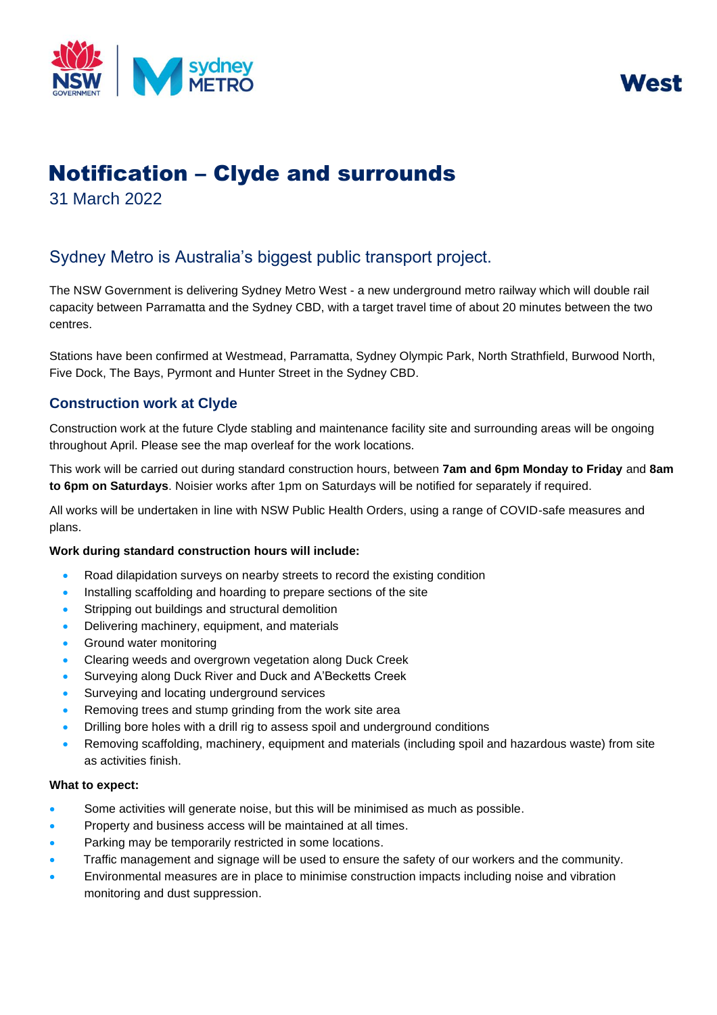



# Notification – Clyde and surrounds

31 March 2022

## Sydney Metro is Australia's biggest public transport project.

The NSW Government is delivering Sydney Metro West - a new underground metro railway which will double rail capacity between Parramatta and the Sydney CBD, with a target travel time of about 20 minutes between the two centres.

Stations have been confirmed at Westmead, Parramatta, Sydney Olympic Park, North Strathfield, Burwood North, Five Dock, The Bays, Pyrmont and Hunter Street in the Sydney CBD.

### **Construction work at Clyde**

Construction work at the future Clyde stabling and maintenance facility site and surrounding areas will be ongoing throughout April. Please see the map overleaf for the work locations.

 This work will be carried out during standard construction hours, between **7am and 6pm Monday to Friday** and **8am to 6pm on Saturdays**. Noisier works after 1pm on Saturdays will be notified for separately if required.

 All works will be undertaken in line with NSW Public Health Orders, using a range of COVID-safe measures and plans.

#### **Work during standard construction hours will include:**

- Road dilapidation surveys on nearby streets to record the existing condition
- Installing scaffolding and hoarding to prepare sections of the site
- Stripping out buildings and structural demolition
- Delivering machinery, equipment, and materials
- Ground water monitoring
- Clearing weeds and overgrown vegetation along Duck Creek
- Surveying along Duck River and Duck and A'Becketts Creek
- Surveying and locating underground services
- Removing trees and stump grinding from the work site area
- Drilling bore holes with a drill rig to assess spoil and underground conditions
- Removing scaffolding, machinery, equipment and materials (including spoil and hazardous waste) from site as activities finish.

#### **What to expect:**

- Some activities will generate noise, but this will be minimised as much as possible.
- Property and business access will be maintained at all times.
- Parking may be temporarily restricted in some locations.
- Traffic management and signage will be used to ensure the safety of our workers and the community.
- Environmental measures are in place to minimise construction impacts including noise and vibration monitoring and dust suppression.